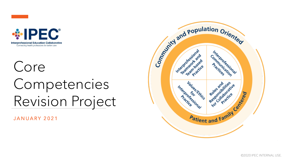



# Core Competencies Revision Project

JANUARY 2021

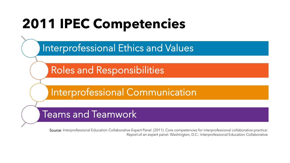# **2011 IPEC Competencies**

Interprofessional Ethics and Values

Roles and Responsibilities

Interprofessional Communication

Teams and Teamwork

Source: Interprofessional Education Collaborative Expert Panel. (2011). Core competencies for interprofessional collaborative practice: Report of an expert panel. Washington, D.C.: Interprofessional Education Collaborative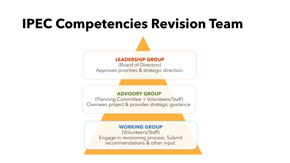# **IPEC Competencies Revision Team**

#### **LEADERSHIP GROUP**

(Board of Directors) Approves priorities & strategic direction.

#### **ADVISORY GROUP**

(Planning Committee + Volunteers/Staff) Oversees project & provides strategic guidance.

### **WORKING GROUP**

(Volunteers/Staff) Engage in revisioning process; Submit recommendations & other input.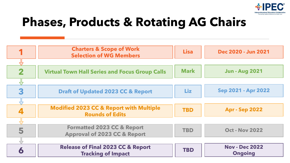

## **Phases, Products & Rotating AG Chairs**

|                         | <b>Charters &amp; Scope of Work</b><br><b>Selection of WG Members</b>            | <b>Lisa</b> | Dec 2020 - Jun 2021                     |
|-------------------------|----------------------------------------------------------------------------------|-------------|-----------------------------------------|
|                         |                                                                                  |             |                                         |
| $\overline{\mathbf{2}}$ | <b>Virtual Town Hall Series and Focus Group Calls</b>                            | <b>Mark</b> | <b>Jun - Aug 2021</b>                   |
|                         |                                                                                  |             |                                         |
| 3                       | <b>Draft of Updated 2023 CC &amp; Report</b>                                     | Liz         | Sep 2021 - Apr 2022                     |
|                         |                                                                                  |             |                                         |
|                         | <b>Modified 2023 CC &amp; Report with Multiple</b><br><b>Rounds of Edits</b>     | <b>TBD</b>  | <b>Apr - Sep 2022</b>                   |
|                         |                                                                                  |             |                                         |
| 5                       | <b>Formatted 2023 CC &amp; Report</b><br><b>Approval of 2023 CC &amp; Report</b> | <b>TBD</b>  | <b>Oct - Nov 2022</b>                   |
|                         |                                                                                  |             |                                         |
| $\bullet$               | <b>Release of Final 2023 CC &amp; Report</b><br><b>Tracking of Impact</b>        | <b>TBD</b>  | <b>Nov - Dec 2022</b><br><b>Ongoing</b> |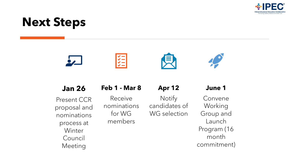

## **Next Steps**



### **Jan 26**

Present CCR proposal and nominations process at Winter Council Meeting

### **Feb 1 - Mar 8**

Receive

nominations

for WG

members

## **Apr 12**

**Notify** candidates of WG selection

### **June 1**

Convene Working Group and Launch Program (16 month commitment)